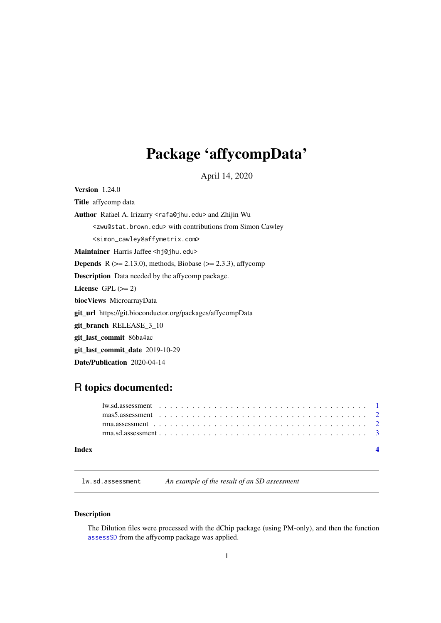# <span id="page-0-0"></span>Package 'affycompData'

April 14, 2020

<span id="page-0-1"></span>Version 1.24.0

Title affycomp data

Author Rafael A. Irizarry <rafa@jhu.edu> and Zhijin Wu

<zwu@stat.brown.edu> with contributions from Simon Cawley

<simon\_cawley@affymetrix.com>

Maintainer Harris Jaffee <hj@jhu.edu>

**Depends** R  $(>= 2.13.0)$ , methods, Biobase  $(>= 2.3.3)$ , affycomp

Description Data needed by the affycomp package.

License GPL  $(>= 2)$ 

biocViews MicroarrayData

git\_url https://git.bioconductor.org/packages/affycompData

git\_branch RELEASE\_3\_10

git\_last\_commit 86ba4ac

git\_last\_commit\_date 2019-10-29

Date/Publication 2020-04-14

# R topics documented:

| Index |  |  |  |  |  |  |  |  |  |  |  |  |  |  |  |  |  |  |  |
|-------|--|--|--|--|--|--|--|--|--|--|--|--|--|--|--|--|--|--|--|
|       |  |  |  |  |  |  |  |  |  |  |  |  |  |  |  |  |  |  |  |
|       |  |  |  |  |  |  |  |  |  |  |  |  |  |  |  |  |  |  |  |
|       |  |  |  |  |  |  |  |  |  |  |  |  |  |  |  |  |  |  |  |
|       |  |  |  |  |  |  |  |  |  |  |  |  |  |  |  |  |  |  |  |

lw.sd.assessment *An example of the result of an SD assessment*

# Description

The Dilution files were processed with the dChip package (using PM-only), and then the function assessSD from the affycomp package was applied.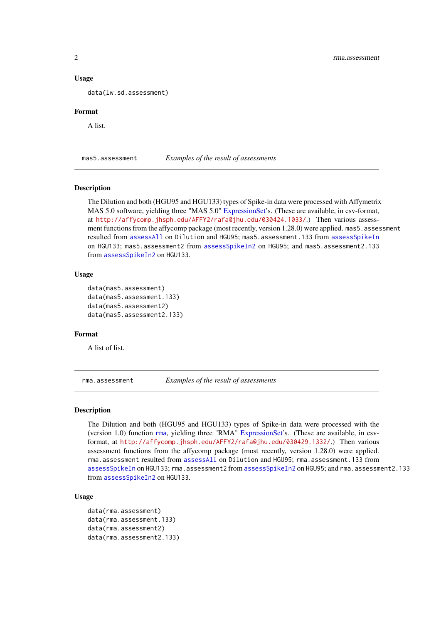### Usage

data(lw.sd.assessment)

#### Format

A list.

mas5.assessment *Examples of the result of assessments*

#### Description

The Dilution and both (HGU95 and HGU133) types of Spike-in data were processed with Affymetrix MAS 5.0 software, yielding three "MAS 5.0" [ExpressionSet'](#page-0-1)s. (These are available, in csv-format, at <http://affycomp.jhsph.edu/AFFY2/rafa@jhu.edu/030424.1033/>.) Then various assessment functions from the affycomp package (most recently, version 1.28.0) were applied. mas5. assessment resulted from [assessAll](#page-0-1) on Dilution and HGU95; mas5.assessment.133 from [assessSpikeIn](#page-0-1) on HGU133; mas5.assessment2 from [assessSpikeIn2](#page-0-1) on HGU95; and mas5.assessment2.133 from [assessSpikeIn2](#page-0-1) on HGU133.

# Usage

```
data(mas5.assessment)
data(mas5.assessment.133)
data(mas5.assessment2)
data(mas5.assessment2.133)
```
#### Format

A list of list.

rma.assessment *Examples of the result of assessments*

#### Description

The Dilution and both (HGU95 and HGU133) types of Spike-in data were processed with the (version 1.0) function [rma](#page-0-1), yielding three "RMA" [ExpressionSet'](#page-0-1)s. (These are available, in csvformat, at <http://affycomp.jhsph.edu/AFFY2/rafa@jhu.edu/030429.1332/>.) Then various assessment functions from the affycomp package (most recently, version 1.28.0) were applied. rma.assessment resulted from [assessAll](#page-0-1) on Dilution and HGU95; rma.assessment.133 from [assessSpikeIn](#page-0-1) on HGU133; rma.assessment2 from [assessSpikeIn2](#page-0-1) on HGU95; and rma.assessment2.133 from [assessSpikeIn2](#page-0-1) on HGU133.

# Usage

```
data(rma.assessment)
data(rma.assessment.133)
data(rma.assessment2)
data(rma.assessment2.133)
```
<span id="page-1-0"></span>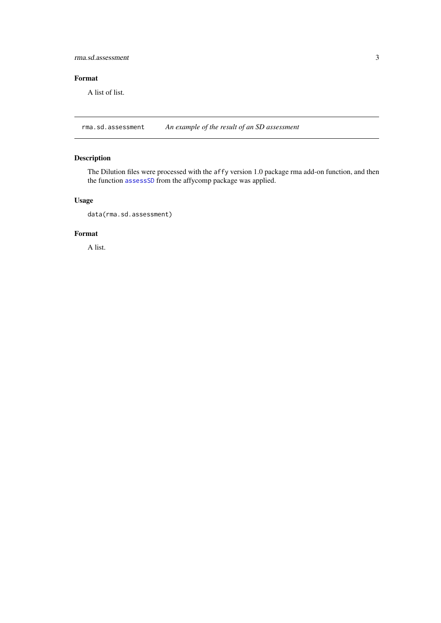<span id="page-2-0"></span>rma.sd.assessment 3

# Format

A list of list.

rma.sd.assessment *An example of the result of an SD assessment*

# Description

The Dilution files were processed with the affy version 1.0 package rma add-on function, and then the function [assessSD](#page-0-1) from the affycomp package was applied.

# Usage

data(rma.sd.assessment)

### Format

A list.